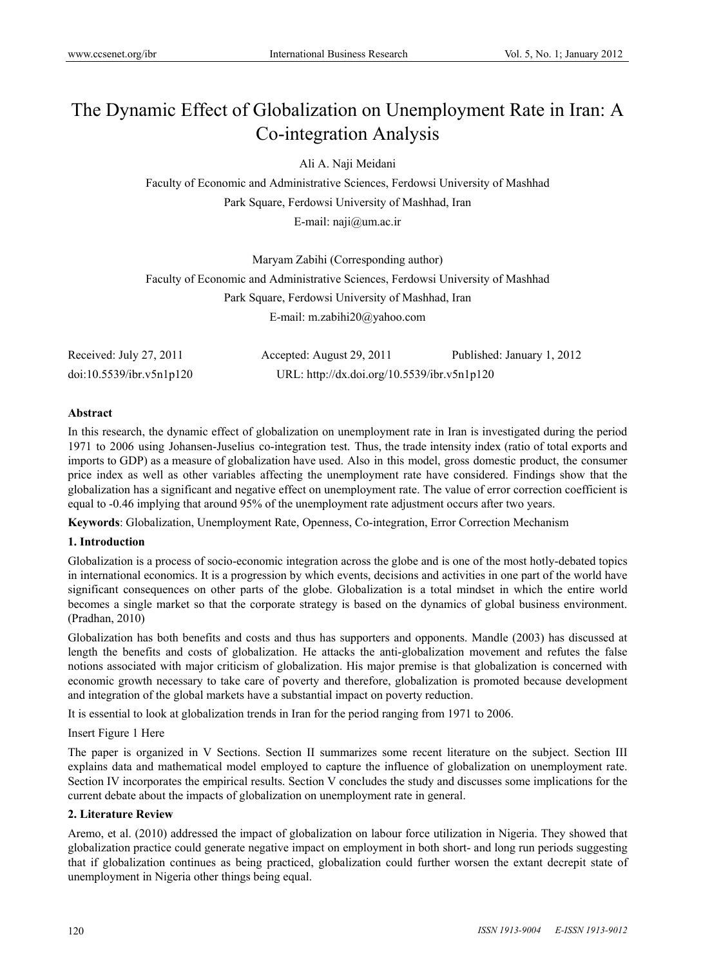# The Dynamic Effect of Globalization on Unemployment Rate in Iran: A Co-integration Analysis

Ali A. Naji Meidani

Faculty of Economic and Administrative Sciences, Ferdowsi University of Mashhad Park Square, Ferdowsi University of Mashhad, Iran E-mail: naji@um.ac.ir

Maryam Zabihi (Corresponding author) Faculty of Economic and Administrative Sciences, Ferdowsi University of Mashhad Park Square, Ferdowsi University of Mashhad, Iran E-mail: m.zabihi20@yahoo.com

| Received: July 27, 2011  | Accepted: August 29, 2011                   | Published: January 1, 2012 |
|--------------------------|---------------------------------------------|----------------------------|
| doi:10.5539/ibr.v5n1p120 | URL: http://dx.doi.org/10.5539/ibr.v5n1p120 |                            |

## **Abstract**

In this research, the dynamic effect of globalization on unemployment rate in Iran is investigated during the period 1971 to 2006 using Johansen-Juselius co-integration test. Thus, the trade intensity index (ratio of total exports and imports to GDP) as a measure of globalization have used. Also in this model, gross domestic product, the consumer price index as well as other variables affecting the unemployment rate have considered. Findings show that the globalization has a significant and negative effect on unemployment rate. The value of error correction coefficient is equal to -0.46 implying that around 95% of the unemployment rate adjustment occurs after two years.

**Keywords**: Globalization, Unemployment Rate, Openness, Co-integration, Error Correction Mechanism

## **1. Introduction**

Globalization is a process of socio-economic integration across the globe and is one of the most hotly-debated topics in international economics. It is a progression by which events, decisions and activities in one part of the world have significant consequences on other parts of the globe. Globalization is a total mindset in which the entire world becomes a single market so that the corporate strategy is based on the dynamics of global business environment. (Pradhan, 2010)

Globalization has both benefits and costs and thus has supporters and opponents. Mandle (2003) has discussed at length the benefits and costs of globalization. He attacks the anti-globalization movement and refutes the false notions associated with major criticism of globalization. His major premise is that globalization is concerned with economic growth necessary to take care of poverty and therefore, globalization is promoted because development and integration of the global markets have a substantial impact on poverty reduction.

It is essential to look at globalization trends in Iran for the period ranging from 1971 to 2006.

## Insert Figure 1 Here

The paper is organized in V Sections. Section II summarizes some recent literature on the subject. Section III explains data and mathematical model employed to capture the influence of globalization on unemployment rate. Section IV incorporates the empirical results. Section V concludes the study and discusses some implications for the current debate about the impacts of globalization on unemployment rate in general.

## **2. Literature Review**

Aremo, et al. (2010) addressed the impact of globalization on labour force utilization in Nigeria. They showed that globalization practice could generate negative impact on employment in both short- and long run periods suggesting that if globalization continues as being practiced, globalization could further worsen the extant decrepit state of unemployment in Nigeria other things being equal.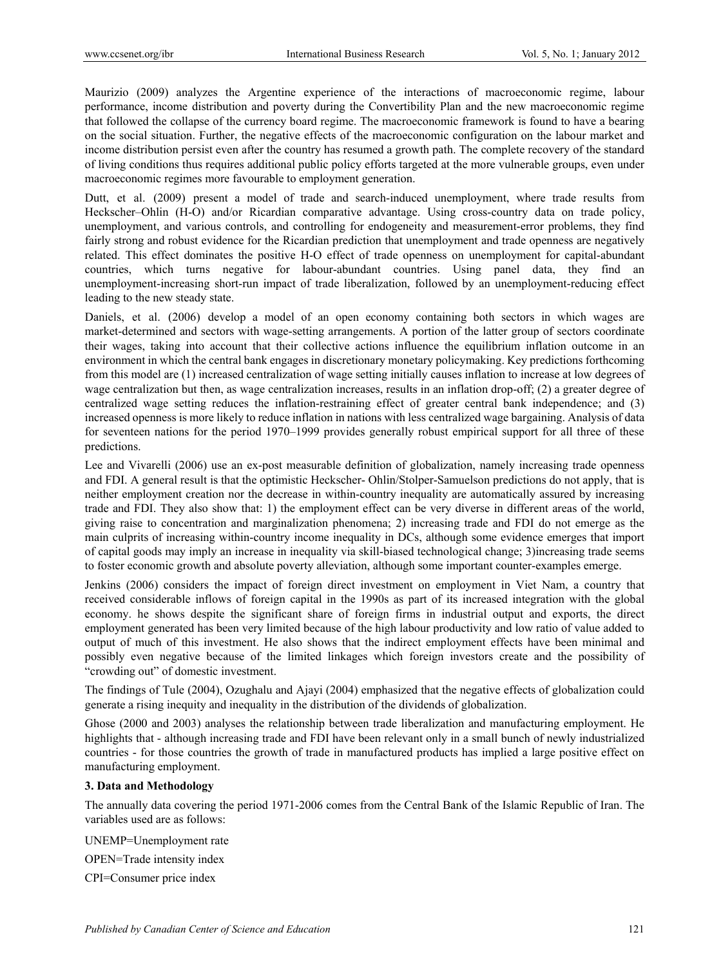Maurizio (2009) analyzes the Argentine experience of the interactions of macroeconomic regime, labour performance, income distribution and poverty during the Convertibility Plan and the new macroeconomic regime that followed the collapse of the currency board regime. The macroeconomic framework is found to have a bearing on the social situation. Further, the negative effects of the macroeconomic configuration on the labour market and income distribution persist even after the country has resumed a growth path. The complete recovery of the standard of living conditions thus requires additional public policy efforts targeted at the more vulnerable groups, even under macroeconomic regimes more favourable to employment generation.

Dutt, et al. (2009) present a model of trade and search-induced unemployment, where trade results from Heckscher–Ohlin (H-O) and/or Ricardian comparative advantage. Using cross-country data on trade policy, unemployment, and various controls, and controlling for endogeneity and measurement-error problems, they find fairly strong and robust evidence for the Ricardian prediction that unemployment and trade openness are negatively related. This effect dominates the positive H-O effect of trade openness on unemployment for capital-abundant countries, which turns negative for labour-abundant countries. Using panel data, they find an unemployment-increasing short-run impact of trade liberalization, followed by an unemployment-reducing effect leading to the new steady state.

Daniels, et al. (2006) develop a model of an open economy containing both sectors in which wages are market-determined and sectors with wage-setting arrangements. A portion of the latter group of sectors coordinate their wages, taking into account that their collective actions influence the equilibrium inflation outcome in an environment in which the central bank engages in discretionary monetary policymaking. Key predictions forthcoming from this model are (1) increased centralization of wage setting initially causes inflation to increase at low degrees of wage centralization but then, as wage centralization increases, results in an inflation drop-off; (2) a greater degree of centralized wage setting reduces the inflation-restraining effect of greater central bank independence; and (3) increased openness is more likely to reduce inflation in nations with less centralized wage bargaining. Analysis of data for seventeen nations for the period 1970–1999 provides generally robust empirical support for all three of these predictions.

Lee and Vivarelli (2006) use an ex-post measurable definition of globalization, namely increasing trade openness and FDI. A general result is that the optimistic Heckscher- Ohlin/Stolper-Samuelson predictions do not apply, that is neither employment creation nor the decrease in within-country inequality are automatically assured by increasing trade and FDI. They also show that: 1) the employment effect can be very diverse in different areas of the world, giving raise to concentration and marginalization phenomena; 2) increasing trade and FDI do not emerge as the main culprits of increasing within-country income inequality in DCs, although some evidence emerges that import of capital goods may imply an increase in inequality via skill-biased technological change; 3)increasing trade seems to foster economic growth and absolute poverty alleviation, although some important counter-examples emerge.

Jenkins (2006) considers the impact of foreign direct investment on employment in Viet Nam, a country that received considerable inflows of foreign capital in the 1990s as part of its increased integration with the global economy. he shows despite the significant share of foreign firms in industrial output and exports, the direct employment generated has been very limited because of the high labour productivity and low ratio of value added to output of much of this investment. He also shows that the indirect employment effects have been minimal and possibly even negative because of the limited linkages which foreign investors create and the possibility of "crowding out" of domestic investment.

The findings of Tule (2004), Ozughalu and Ajayi (2004) emphasized that the negative effects of globalization could generate a rising inequity and inequality in the distribution of the dividends of globalization.

Ghose (2000 and 2003) analyses the relationship between trade liberalization and manufacturing employment. He highlights that - although increasing trade and FDI have been relevant only in a small bunch of newly industrialized countries - for those countries the growth of trade in manufactured products has implied a large positive effect on manufacturing employment.

# **3. Data and Methodology**

The annually data covering the period 1971-2006 comes from the Central Bank of the Islamic Republic of Iran. The variables used are as follows:

UNEMP=Unemployment rate

OPEN=Trade intensity index

CPI=Consumer price index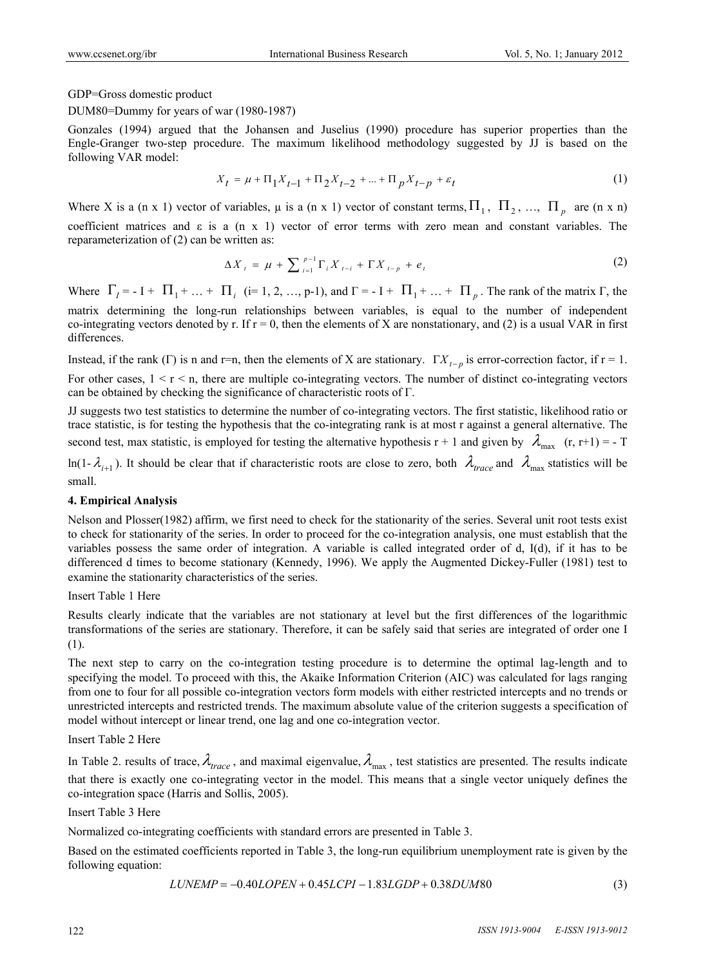GDP=Gross domestic product

DUM80=Dummy for years of war (1980-1987)

Gonzales (1994) argued that the Johansen and Juselius (1990) procedure has superior properties than the Engle-Granger two-step procedure. The maximum likelihood methodology suggested by JJ is based on the following VAR model:

$$
X_t = \mu + \Pi_1 X_{t-1} + \Pi_2 X_{t-2} + \dots + \Pi_p X_{t-p} + \varepsilon_t
$$
\n(1)

Where X is a (n x 1) vector of variables,  $\mu$  is a (n x 1) vector of constant terms,  $\Pi_1$ ,  $\Pi_2$ , ...,  $\Pi_n$  are (n x n) coefficient matrices and  $\varepsilon$  is a (n x 1) vector of error terms with zero mean and constant variables. The reparameterization of (2) can be written as:

$$
\Delta X_{t} = \mu + \sum_{i=1}^{p-1} \Gamma_{i} X_{t-i} + \Gamma X_{t-p} + e_{t}
$$
\n(2)

Where  $\Gamma_1 = -I + \Pi_1 + ... + \Pi_i$  (i= 1, 2, …, p-1), and  $\Gamma = -I + \Pi_1 + ... + \Pi_n$ . The rank of the matrix  $\Gamma$ , the matrix determining the long-run relationships between variables, is equal to the number of independent co-integrating vectors denoted by r. If  $r = 0$ , then the elements of X are nonstationary, and (2) is a usual VAR in first differences.

Instead, if the rank (Γ) is n and r=n, then the elements of X are stationary.  $\Gamma X_{t-p}$  is error-correction factor, if  $r = 1$ . For other cases,  $1 < r < n$ , there are multiple co-integrating vectors. The number of distinct co-integrating vectors can be obtained by checking the significance of characteristic roots of Γ.

JJ suggests two test statistics to determine the number of co-integrating vectors. The first statistic, likelihood ratio or trace statistic, is for testing the hypothesis that the co-integrating rank is at most r against a general alternative. The second test, max statistic, is employed for testing the alternative hypothesis r + 1 and given by  $\lambda_{\text{max}}$  (r, r+1) = - T

 $ln(1-\lambda_{i+1})$ . It should be clear that if characteristic roots are close to zero, both  $\lambda_{trace}$  and  $\lambda_{max}$  statistics will be small.

# **4. Empirical Analysis**

Nelson and Plosser(1982) affirm, we first need to check for the stationarity of the series. Several unit root tests exist to check for stationarity of the series. In order to proceed for the co-integration analysis, one must establish that the variables possess the same order of integration. A variable is called integrated order of d, I(d), if it has to be differenced d times to become stationary (Kennedy, 1996). We apply the Augmented Dickey-Fuller (1981) test to examine the stationarity characteristics of the series.

Insert Table 1 Here

Results clearly indicate that the variables are not stationary at level but the first differences of the logarithmic transformations of the series are stationary. Therefore, it can be safely said that series are integrated of order one I (1).

The next step to carry on the co-integration testing procedure is to determine the optimal lag-length and to specifying the model. To proceed with this, the Akaike Information Criterion (AIC) was calculated for lags ranging from one to four for all possible co-integration vectors form models with either restricted intercepts and no trends or unrestricted intercepts and restricted trends. The maximum absolute value of the criterion suggests a specification of model without intercept or linear trend, one lag and one co-integration vector.

## Insert Table 2 Here

In Table 2. results of trace,  $\lambda_{\text{trace}}$ , and maximal eigenvalue,  $\lambda_{\text{max}}$ , test statistics are presented. The results indicate that there is exactly one co-integrating vector in the model. This means that a single vector uniquely defines the co-integration space (Harris and Sollis, 2005).

Insert Table 3 Here

Normalized co-integrating coefficients with standard errors are presented in Table 3.

Based on the estimated coefficients reported in Table 3, the long-run equilibrium unemployment rate is given by the following equation:

$$
LUNEMP = -0.40LOPEN + 0.45LCPI - 1.83LGDP + 0.38DUM80
$$
\n
$$
(3)
$$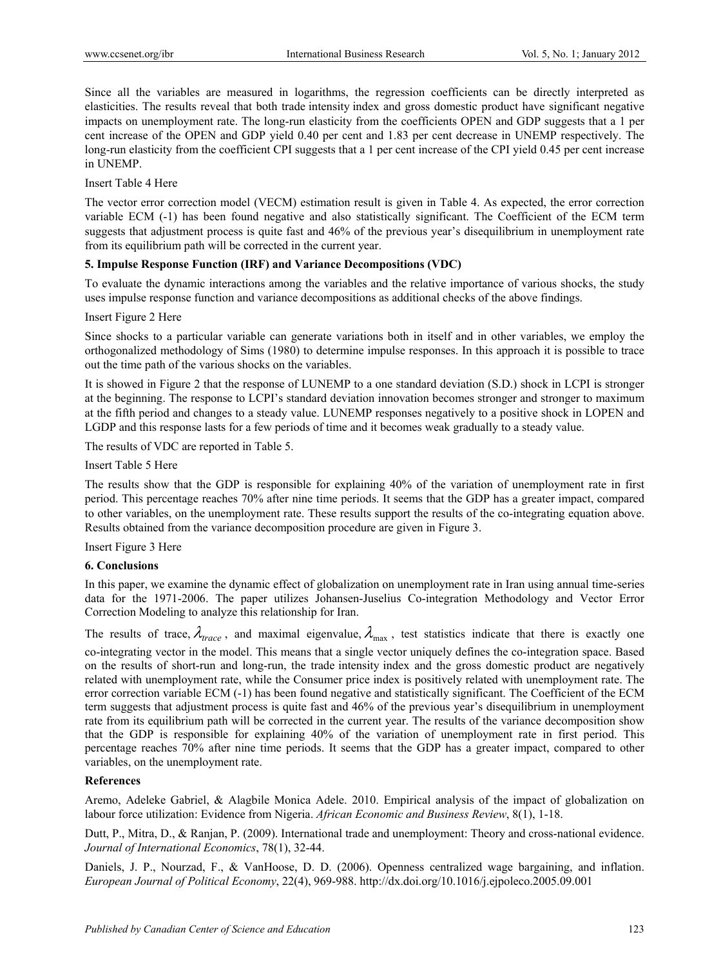Since all the variables are measured in logarithms, the regression coefficients can be directly interpreted as elasticities. The results reveal that both trade intensity index and gross domestic product have significant negative impacts on unemployment rate. The long-run elasticity from the coefficients OPEN and GDP suggests that a 1 per cent increase of the OPEN and GDP yield 0.40 per cent and 1.83 per cent decrease in UNEMP respectively. The long-run elasticity from the coefficient CPI suggests that a 1 per cent increase of the CPI yield 0.45 per cent increase in UNEMP.

Insert Table 4 Here

The vector error correction model (VECM) estimation result is given in Table 4. As expected, the error correction variable ECM (-1) has been found negative and also statistically significant. The Coefficient of the ECM term suggests that adjustment process is quite fast and 46% of the previous year's disequilibrium in unemployment rate from its equilibrium path will be corrected in the current year.

## **5. Impulse Response Function (IRF) and Variance Decompositions (VDC)**

To evaluate the dynamic interactions among the variables and the relative importance of various shocks, the study uses impulse response function and variance decompositions as additional checks of the above findings.

#### Insert Figure 2 Here

Since shocks to a particular variable can generate variations both in itself and in other variables, we employ the orthogonalized methodology of Sims (1980) to determine impulse responses. In this approach it is possible to trace out the time path of the various shocks on the variables.

It is showed in Figure 2 that the response of LUNEMP to a one standard deviation (S.D.) shock in LCPI is stronger at the beginning. The response to LCPI's standard deviation innovation becomes stronger and stronger to maximum at the fifth period and changes to a steady value. LUNEMP responses negatively to a positive shock in LOPEN and LGDP and this response lasts for a few periods of time and it becomes weak gradually to a steady value.

The results of VDC are reported in Table 5.

Insert Table 5 Here

The results show that the GDP is responsible for explaining 40% of the variation of unemployment rate in first period. This percentage reaches 70% after nine time periods. It seems that the GDP has a greater impact, compared to other variables, on the unemployment rate. These results support the results of the co-integrating equation above. Results obtained from the variance decomposition procedure are given in Figure 3.

Insert Figure 3 Here

#### **6. Conclusions**

In this paper, we examine the dynamic effect of globalization on unemployment rate in Iran using annual time-series data for the 1971-2006. The paper utilizes Johansen-Juselius Co-integration Methodology and Vector Error Correction Modeling to analyze this relationship for Iran.

The results of trace,  $\lambda_{trace}$ , and maximal eigenvalue,  $\lambda_{max}$ , test statistics indicate that there is exactly one co-integrating vector in the model. This means that a single vector uniquely defines the co-integration space. Based on the results of short-run and long-run, the trade intensity index and the gross domestic product are negatively related with unemployment rate, while the Consumer price index is positively related with unemployment rate. The error correction variable ECM (-1) has been found negative and statistically significant. The Coefficient of the ECM term suggests that adjustment process is quite fast and 46% of the previous year's disequilibrium in unemployment rate from its equilibrium path will be corrected in the current year. The results of the variance decomposition show that the GDP is responsible for explaining 40% of the variation of unemployment rate in first period. This percentage reaches 70% after nine time periods. It seems that the GDP has a greater impact, compared to other variables, on the unemployment rate.

#### **References**

Aremo, Adeleke Gabriel, & Alagbile Monica Adele. 2010. Empirical analysis of the impact of globalization on labour force utilization: Evidence from Nigeria. *African Economic and Business Review*, 8(1), 1-18.

Dutt, P., Mitra, D., & Ranjan, P. (2009). International trade and unemployment: Theory and cross-national evidence. *Journal of International Economics*, 78(1), 32-44.

Daniels, J. P., Nourzad, F., & VanHoose, D. D. (2006). Openness centralized wage bargaining, and inflation. *European Journal of Political Economy*, 22(4), 969-988. http://dx.doi.org/10.1016/j.ejpoleco.2005.09.001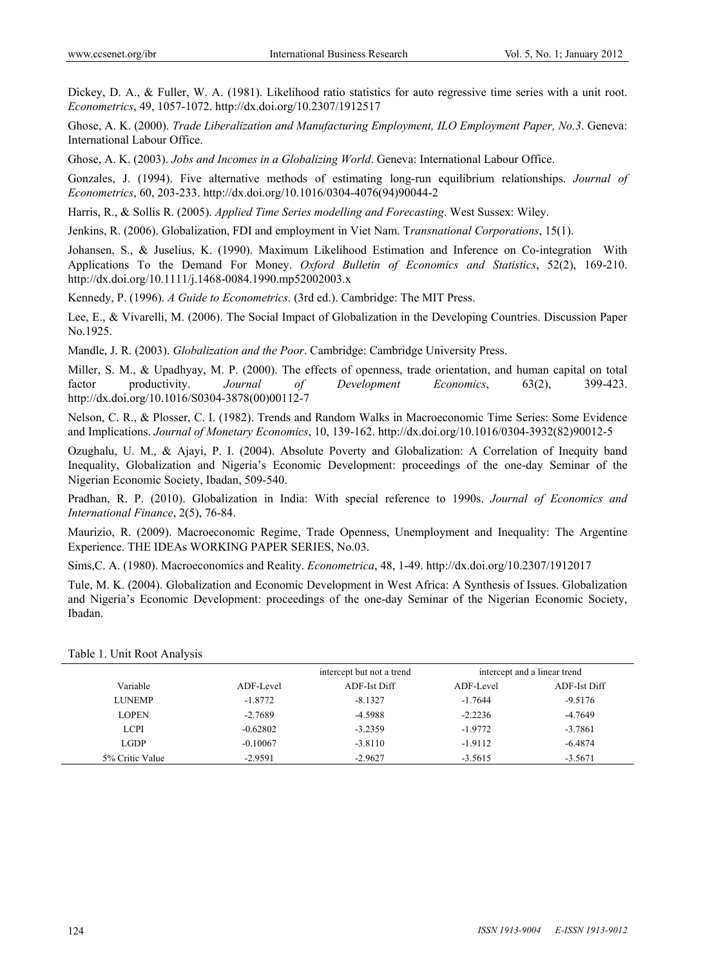Dickey, D. A., & Fuller, W. A. (1981). Likelihood ratio statistics for auto regressive time series with a unit root. *Econometrics*, 49, 1057-1072. http://dx.doi.org/10.2307/1912517

Ghose, A. K. (2000). *Trade Liberalization and Manufacturing Employment, ILO Employment Paper, No.3*. Geneva: International Labour Office.

Ghose, A. K. (2003). *Jobs and Incomes in a Globalizing World*. Geneva: International Labour Office.

Gonzales, J. (1994). Five alternative methods of estimating long-run equilibrium relationships. *Journal of Econometrics*, 60, 203-233. http://dx.doi.org/10.1016/0304-4076(94)90044-2

Harris, R., & Sollis R. (2005). *Applied Time Series modelling and Forecasting*. West Sussex: Wiley.

Jenkins, R. (2006). Globalization, FDI and employment in Viet Nam. T*ransnational Corporations*, 15(1).

Johansen, S., & Juselius, K. (1990). Maximum Likelihood Estimation and Inference on Co-integration With Applications To the Demand For Money. *Oxford Bulletin of Economics and Statistics*, 52(2), 169-210. http://dx.doi.org/10.1111/j.1468-0084.1990.mp52002003.x

Kennedy, P. (1996). *A Guide to Econometrics.* (3rd ed.). Cambridge: The MIT Press.

Lee, E., & Vivarelli, M. (2006). The Social Impact of Globalization in the Developing Countries. Discussion Paper No.1925.

Mandle, J. R. (2003). *Globalization and the Poor*. Cambridge: Cambridge University Press.

Miller, S. M., & Upadhyay, M. P. (2000). The effects of openness, trade orientation, and human capital on total factor productivity. *Journal of Development Economics*, 63(2), 399-423. http://dx.doi.org/10.1016/S0304-3878(00)00112-7

Nelson, C. R., & Plosser, C. I. (1982). Trends and Random Walks in Macroeconomic Time Series: Some Evidence and Implications. *Journal of Monetary Economics*, 10, 139-162. http://dx.doi.org/10.1016/0304-3932(82)90012-5

Ozughalu, U. M., & Ajayi, P. I. (2004). Absolute Poverty and Globalization: A Correlation of Inequity band Inequality, Globalization and Nigeria's Economic Development: proceedings of the one-day Seminar of the Nigerian Economic Society, Ibadan, 509-540.

Pradhan, R. P. (2010). Globalization in India: With special reference to 1990s. *Journal of Economics and International Finance*, 2(5), 76-84.

Maurizio, R. (2009). Macroeconomic Regime, Trade Openness, Unemployment and Inequality: The Argentine Experience. THE IDEAs WORKING PAPER SERIES, No.03.

Sims,C. A. (1980). Macroeconomics and Reality. *Econometrica*, 48, 1-49. http://dx.doi.org/10.2307/1912017

Tule, M. K. (2004). Globalization and Economic Development in West Africa: A Synthesis of Issues. Globalization and Nigeria's Economic Development: proceedings of the one-day Seminar of the Nigerian Economic Society, Ibadan.

|                 |            | intercept but not a trend | intercept and a linear trend |              |
|-----------------|------------|---------------------------|------------------------------|--------------|
| Variable        | ADF-Level  | ADF-Ist Diff              | ADF-Level                    | ADF-Ist Diff |
| <b>LUNEMP</b>   | $-1.8772$  | $-8.1327$                 | $-1.7644$                    | $-9.5176$    |
| <b>LOPEN</b>    | $-2.7689$  | $-4.5988$                 | $-2.2236$                    | $-4.7649$    |
| <b>LCPI</b>     | $-0.62802$ | $-3.2359$                 | $-1.9772$                    | $-3.7861$    |
| <b>LGDP</b>     | $-0.10067$ | $-3.8110$                 | $-1.9112$                    | $-6.4874$    |
| 5% Critic Value | $-2.9591$  | $-2.9627$                 | $-3.5615$                    | $-3.5671$    |

Table 1. Unit Root Analysis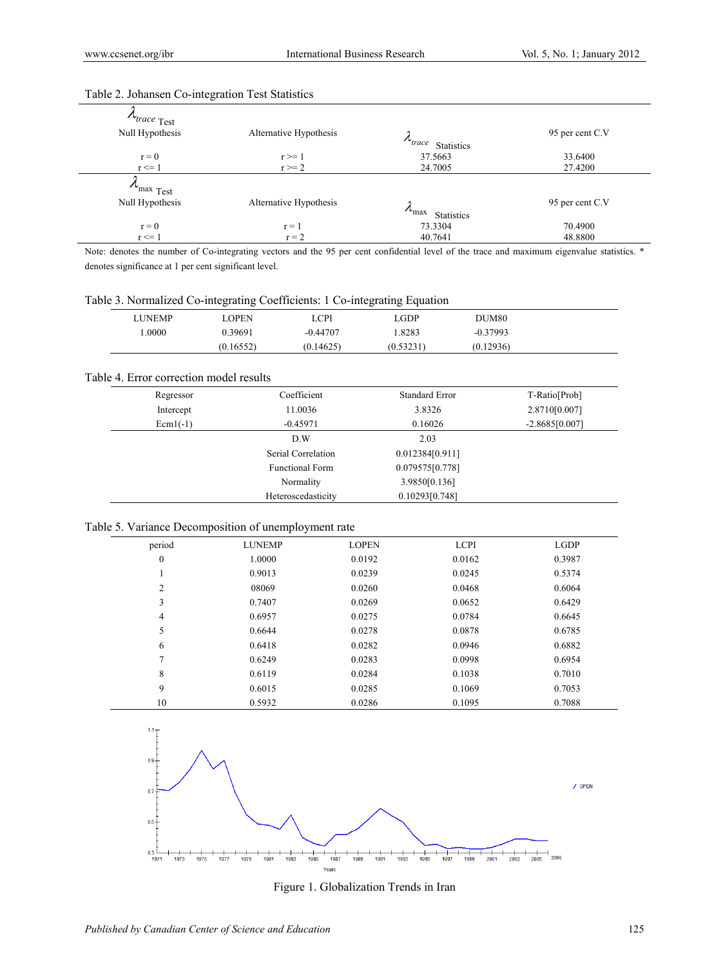| $\Lambda_{trace}$ Test<br>Null Hypothesis | Alternative Hypothesis   | $\mu_{\text{trace}}$<br><b>Statistics</b>   | 95 per cent C.V    |  |
|-------------------------------------------|--------------------------|---------------------------------------------|--------------------|--|
| $r = 0$<br>$r \leq 1$                     | $r \geq 1$<br>$r \geq 2$ | 37.5663<br>24.7005                          | 33.6400<br>27.4200 |  |
| $\lambda_{\text{max}}$ Test               |                          |                                             |                    |  |
| Null Hypothesis                           | Alternative Hypothesis   | $\lambda_{\text{max}}$<br><b>Statistics</b> | 95 per cent C.V    |  |
| $r = 0$                                   | $r = 1$                  | 73.3304                                     | 70.4900            |  |
| $r \leq 1$                                | $r = 2$                  | 40.7641                                     | 48.8800            |  |

# Table 2. Johansen Co-integration Test Statistics

Note: denotes the number of Co-integrating vectors and the 95 per cent confidential level of the trace and maximum eigenvalue statistics. \* denotes significance at 1 per cent significant level.

Table 3. Normalized Co-integrating Coefficients: 1 Co-integrating Equation

| LUNEMP | .OPEN     | LCPI       | .GDP      | DUM80      |  |
|--------|-----------|------------|-----------|------------|--|
| .0000  | 0.39691   | $-0.44707$ | .8283     | $-0.37993$ |  |
|        | (0.16552) | (0.14625)  | (0.53231) | (0.12936)  |  |

#### Table 4. Error correction model results

| Regressor  | Coefficient            | <b>Standard Error</b> | T-Ratio[Prob]    |
|------------|------------------------|-----------------------|------------------|
| Intercept  | 11.0036                | 3.8326                | 2.8710[0.007]    |
| $Ecm1(-1)$ | $-0.45971$             | 0.16026               | $-2.8685[0.007]$ |
|            | D.W                    | 2.03                  |                  |
|            | Serial Correlation     | 0.012384[0.911]       |                  |
|            | <b>Functional Form</b> | 0.079575[0.778]       |                  |
|            | Normality              | 3.9850[0.136]         |                  |
|            | Heteroscedasticity     | 0.10293[0.748]        |                  |

#### Table 5. Variance Decomposition of unemployment rate

| period           | <b>LUNEMP</b> | <b>LOPEN</b> | <b>LCPI</b> | <b>LGDP</b> |
|------------------|---------------|--------------|-------------|-------------|
| $\boldsymbol{0}$ | 1.0000        | 0.0192       | 0.0162      | 0.3987      |
| -1               | 0.9013        | 0.0239       | 0.0245      | 0.5374      |
| $\overline{2}$   | 08069         | 0.0260       | 0.0468      | 0.6064      |
| 3                | 0.7407        | 0.0269       | 0.0652      | 0.6429      |
| 4                | 0.6957        | 0.0275       | 0.0784      | 0.6645      |
| 5                | 0.6644        | 0.0278       | 0.0878      | 0.6785      |
| 6                | 0.6418        | 0.0282       | 0.0946      | 0.6882      |
| 7                | 0.6249        | 0.0283       | 0.0998      | 0.6954      |
| 8                | 0.6119        | 0.0284       | 0.1038      | 0.7010      |
| 9                | 0.6015        | 0.0285       | 0.1069      | 0.7053      |
| 10               | 0.5932        | 0.0286       | 0.1095      | 0.7088      |